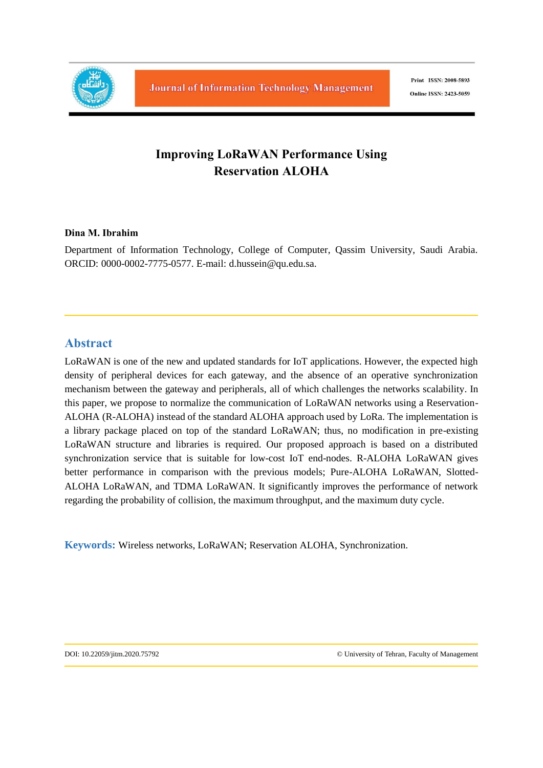

# **Improving LoRaWAN Performance Using Reservation ALOHA**

#### **Dina M. Ibrahim**

Department of Information Technology, College of Computer, Qassim University, Saudi Arabia. ORCID: 0000-0002-7775-0577. E-mail: d.hussein@qu.edu.sa.

# **Abstract**

LoRaWAN is one of the new and updated standards for IoT applications. However, the expected high density of peripheral devices for each gateway, and the absence of an operative synchronization mechanism between the gateway and peripherals, all of which challenges the networks scalability. In this paper, we propose to normalize the communication of LoRaWAN networks using a Reservation-ALOHA (R-ALOHA) instead of the standard ALOHA approach used by LoRa. The implementation is a library package placed on top of the standard LoRaWAN; thus, no modification in pre-existing LoRaWAN structure and libraries is required. Our proposed approach is based on a distributed synchronization service that is suitable for low-cost IoT end-nodes. R-ALOHA LoRaWAN gives better performance in comparison with the previous models; Pure-ALOHA LoRaWAN, Slotted-ALOHA LoRaWAN, and TDMA LoRaWAN. It significantly improves the performance of network regarding the probability of collision, the maximum throughput, and the maximum duty cycle.

**Keywords:** Wireless networks, LoRaWAN; Reservation ALOHA, Synchronization.

DOI: 10.22059/jitm.2020.75792 © University of Tehran, Faculty of Management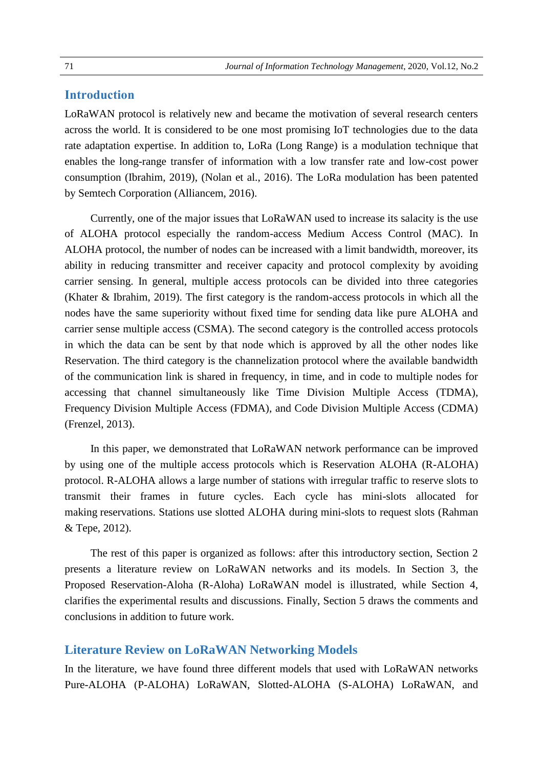## **Introduction**

LoRaWAN protocol is relatively new and became the motivation of several research centers across the world. It is considered to be one most promising IoT technologies due to the data rate adaptation expertise. In addition to, LoRa (Long Range) is a modulation technique that enables the long-range transfer of information with a low transfer rate and low-cost power consumption (Ibrahim, 2019), (Nolan et al., 2016). The LoRa modulation has been patented by Semtech Corporation (Alliancem, 2016).

Currently, one of the major issues that LoRaWAN used to increase its salacity is the use of ALOHA protocol especially the random-access Medium Access Control (MAC). In ALOHA protocol, the number of nodes can be increased with a limit bandwidth, moreover, its ability in reducing transmitter and receiver capacity and protocol complexity by avoiding carrier sensing. In general, multiple access protocols can be divided into three categories (Khater & Ibrahim, 2019). The first category is the random-access protocols in which all the nodes have the same superiority without fixed time for sending data like pure ALOHA and carrier sense multiple access (CSMA). The second category is the controlled access protocols in which the data can be sent by that node which is approved by all the other nodes like Reservation. The third category is the channelization protocol where the available bandwidth of the communication link is shared in frequency, in time, and in code to multiple nodes for accessing that channel simultaneously like Time Division Multiple Access (TDMA), Frequency Division Multiple Access (FDMA), and Code Division Multiple Access (CDMA) (Frenzel, 2013).

In this paper, we demonstrated that LoRaWAN network performance can be improved by using one of the multiple access protocols which is Reservation ALOHA (R-ALOHA) protocol. R-ALOHA allows a large number of stations with irregular traffic to reserve slots to transmit their frames in future cycles. Each cycle has mini-slots allocated for making reservations. Stations use slotted ALOHA during mini-slots to request slots (Rahman & Tepe, 2012).

The rest of this paper is organized as follows: after this introductory section, Section 2 presents a literature review on LoRaWAN networks and its models. In Section 3, the Proposed Reservation-Aloha (R-Aloha) LoRaWAN model is illustrated, while Section 4, clarifies the experimental results and discussions. Finally, Section 5 draws the comments and conclusions in addition to future work.

#### **Literature Review on LoRaWAN Networking Models**

In the literature, we have found three different models that used with LoRaWAN networks Pure-ALOHA (P-ALOHA) LoRaWAN, Slotted-ALOHA (S-ALOHA) LoRaWAN, and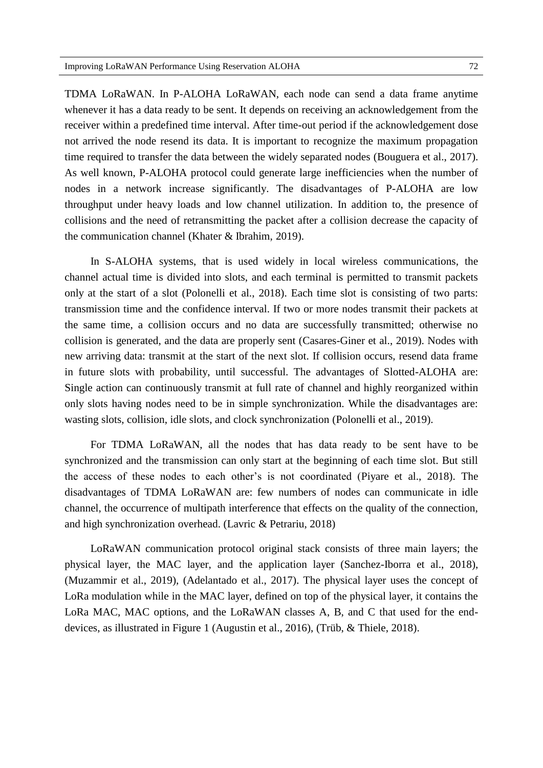TDMA LoRaWAN. In P-ALOHA LoRaWAN, each node can send a data frame anytime whenever it has a data ready to be sent. It depends on receiving an acknowledgement from the receiver within a predefined time interval. After time-out period if the acknowledgement dose not arrived the node resend its data. It is important to recognize the maximum propagation time required to transfer the data between the widely separated nodes (Bouguera et al., 2017). As well known, P-ALOHA protocol could generate large inefficiencies when the number of nodes in a network increase significantly. The disadvantages of P-ALOHA are low throughput under heavy loads and low channel utilization. In addition to, the presence of collisions and the need of retransmitting the packet after a collision decrease the capacity of the communication channel (Khater & Ibrahim, 2019).

In S-ALOHA systems, that is used widely in local wireless communications, the channel actual time is divided into slots, and each terminal is permitted to transmit packets only at the start of a slot (Polonelli et al., 2018). Each time slot is consisting of two parts: transmission time and the confidence interval. If two or more nodes transmit their packets at the same time, a collision occurs and no data are successfully transmitted; otherwise no collision is generated, and the data are properly sent (Casares-Giner et al., 2019). Nodes with new arriving data: transmit at the start of the next slot. If collision occurs, resend data frame in future slots with probability, until successful. The advantages of Slotted-ALOHA are: Single action can continuously transmit at full rate of channel and highly reorganized within only slots having nodes need to be in simple synchronization. While the disadvantages are: wasting slots, collision, idle slots, and clock synchronization (Polonelli et al., 2019).

For TDMA LoRaWAN, all the nodes that has data ready to be sent have to be synchronized and the transmission can only start at the beginning of each time slot. But still the access of these nodes to each other's is not coordinated (Piyare et al., 2018). The disadvantages of TDMA LoRaWAN are: few numbers of nodes can communicate in idle channel, the occurrence of multipath interference that effects on the quality of the connection, and high synchronization overhead. (Lavric & Petrariu, 2018)

LoRaWAN communication protocol original stack consists of three main layers; the physical layer, the MAC layer, and the application layer (Sanchez-Iborra et al., 2018), (Muzammir et al., 2019), (Adelantado et al., 2017). The physical layer uses the concept of LoRa modulation while in the MAC layer, defined on top of the physical layer, it contains the LoRa MAC, MAC options, and the LoRaWAN classes A, B, and C that used for the enddevices, as illustrated in Figure 1 (Augustin et al., 2016), (Trüb, & Thiele, 2018).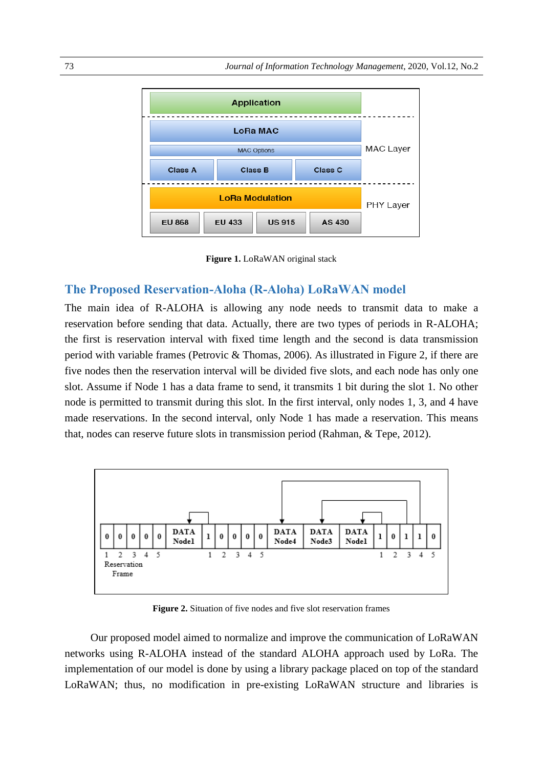

**Figure 1.** LoRaWAN original stack

#### **The Proposed Reservation-Aloha (R-Aloha) LoRaWAN model**

The main idea of R-ALOHA is allowing any node needs to transmit data to make a reservation before sending that data. Actually, there are two types of periods in R-ALOHA; the first is reservation interval with fixed time length and the second is data transmission period with variable frames (Petrovic & Thomas, 2006). As illustrated in Figure 2, if there are five nodes then the reservation interval will be divided five slots, and each node has only one slot. Assume if Node 1 has a data frame to send, it transmits 1 bit during the slot 1. No other node is permitted to transmit during this slot. In the first interval, only nodes 1, 3, and 4 have made reservations. In the second interval, only Node 1 has made a reservation. This means that, nodes can reserve future slots in transmission period (Rahman, & Tepe, 2012).



**Figure 2.** Situation of five nodes and five slot reservation frames

Our proposed model aimed to normalize and improve the communication of LoRaWAN networks using R-ALOHA instead of the standard ALOHA approach used by LoRa. The implementation of our model is done by using a library package placed on top of the standard LoRaWAN; thus, no modification in pre-existing LoRaWAN structure and libraries is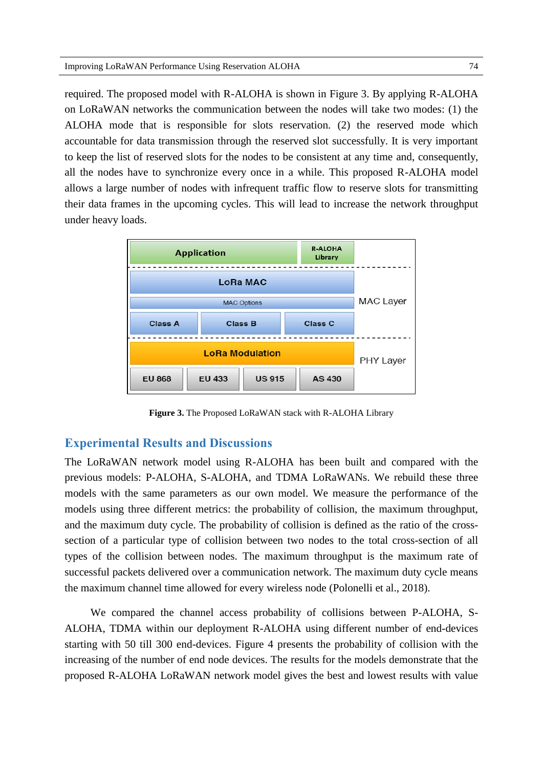required. The proposed model with R-ALOHA is shown in Figure 3. By applying R-ALOHA on LoRaWAN networks the communication between the nodes will take two modes: (1) the ALOHA mode that is responsible for slots reservation. (2) the reserved mode which accountable for data transmission through the reserved slot successfully. It is very important to keep the list of reserved slots for the nodes to be consistent at any time and, consequently, all the nodes have to synchronize every once in a while. This proposed R-ALOHA model allows a large number of nodes with infrequent traffic flow to reserve slots for transmitting their data frames in the upcoming cycles. This will lead to increase the network throughput under heavy loads.



**Figure 3.** The Proposed LoRaWAN stack with R-ALOHA Library

#### **Experimental Results and Discussions**

The LoRaWAN network model using R-ALOHA has been built and compared with the previous models: P-ALOHA, S-ALOHA, and TDMA LoRaWANs. We rebuild these three models with the same parameters as our own model. We measure the performance of the models using three different metrics: the probability of collision, the maximum throughput, and the maximum duty cycle. The probability of collision is defined as the ratio of the crosssection of a particular type of collision between two nodes to the total cross-section of all types of the collision between nodes. The maximum throughput is the maximum rate of successful packets delivered over a communication network. The maximum duty cycle means the maximum channel time allowed for every wireless node (Polonelli et al., 2018).

We compared the channel access probability of collisions between P-ALOHA, S-ALOHA, TDMA within our deployment R-ALOHA using different number of end-devices starting with 50 till 300 end-devices. Figure 4 presents the probability of collision with the increasing of the number of end node devices. The results for the models demonstrate that the proposed R-ALOHA LoRaWAN network model gives the best and lowest results with value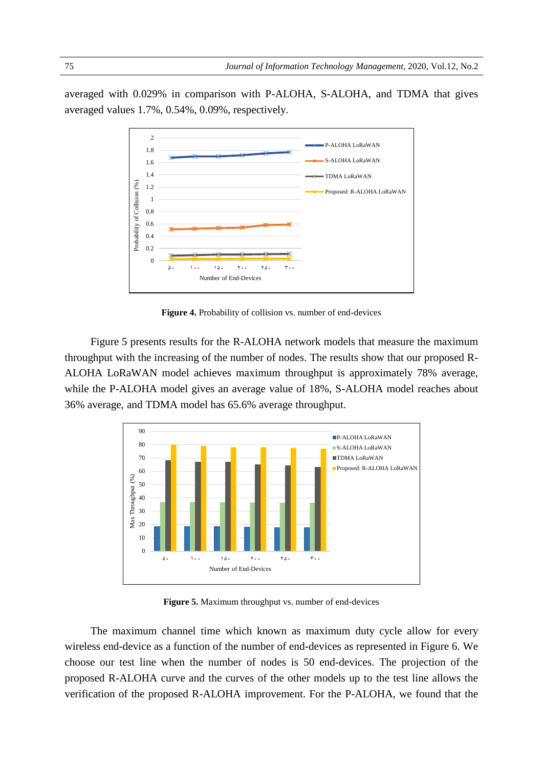averaged with 0.029% in comparison with P-ALOHA, S-ALOHA, and TDMA that gives averaged values 1.7%, 0.54%, 0.09%, respectively.



Figure 4. Probability of collision vs. number of end-devices

Figure 5 presents results for the R-ALOHA network models that measure the maximum throughput with the increasing of the number of nodes. The results show that our proposed R-ALOHA LoRaWAN model achieves maximum throughput is approximately 78% average, while the P-ALOHA model gives an average value of 18%, S-ALOHA model reaches about 36% average, and TDMA model has 65.6% average throughput.



**Figure 5.** Maximum throughput vs. number of end-devices

The maximum channel time which known as maximum duty cycle allow for every wireless end-device as a function of the number of end-devices as represented in Figure 6. We choose our test line when the number of nodes is 50 end-devices. The projection of the proposed R-ALOHA curve and the curves of the other models up to the test line allows the verification of the proposed R-ALOHA improvement. For the P-ALOHA, we found that the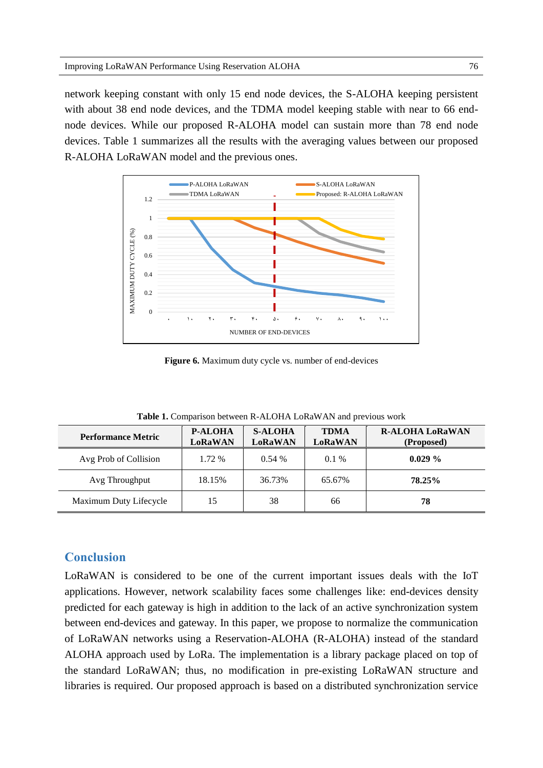network keeping constant with only 15 end node devices, the S-ALOHA keeping persistent with about 38 end node devices, and the TDMA model keeping stable with near to 66 endnode devices. While our proposed R-ALOHA model can sustain more than 78 end node devices. Table 1 summarizes all the results with the averaging values between our proposed R-ALOHA LoRaWAN model and the previous ones.



**Figure 6.** Maximum duty cycle vs. number of end-devices

| <b>Performance Metric</b> | <b>P-ALOHA</b><br>LoRaWAN | <b>S-ALOHA</b><br>LoRaWAN | <b>TDMA</b><br><b>LoRaWAN</b> | <b>R-ALOHA LoRaWAN</b><br>(Proposed) |
|---------------------------|---------------------------|---------------------------|-------------------------------|--------------------------------------|
| Avg Prob of Collision     | 1.72 %                    | 0.54%                     | $0.1\%$                       | $0.029\%$                            |
| Avg Throughput            | 18.15%                    | 36.73%                    | 65.67%                        | 78.25%                               |
| Maximum Duty Lifecycle    |                           | 38                        | 66                            | 78                                   |

**Table 1.** Comparison between R-ALOHA LoRaWAN and previous work

# **Conclusion**

LoRaWAN is considered to be one of the current important issues deals with the IoT applications. However, network scalability faces some challenges like: end-devices density predicted for each gateway is high in addition to the lack of an active synchronization system between end-devices and gateway. In this paper, we propose to normalize the communication of LoRaWAN networks using a Reservation-ALOHA (R-ALOHA) instead of the standard ALOHA approach used by LoRa. The implementation is a library package placed on top of the standard LoRaWAN; thus, no modification in pre-existing LoRaWAN structure and libraries is required. Our proposed approach is based on a distributed synchronization service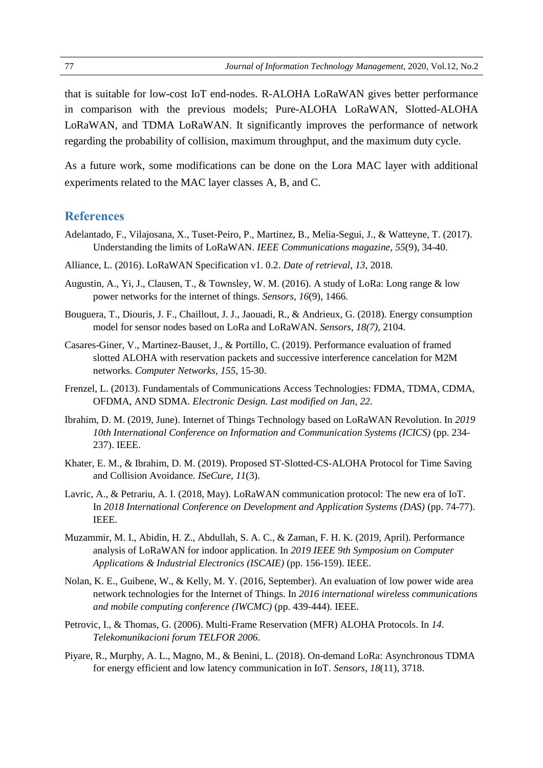that is suitable for low-cost IoT end-nodes. R-ALOHA LoRaWAN gives better performance in comparison with the previous models; Pure-ALOHA LoRaWAN, Slotted-ALOHA LoRaWAN, and TDMA LoRaWAN. It significantly improves the performance of network regarding the probability of collision, maximum throughput, and the maximum duty cycle.

As a future work, some modifications can be done on the Lora MAC layer with additional experiments related to the MAC layer classes A, B, and C.

### **References**

- Adelantado, F., Vilajosana, X., Tuset-Peiro, P., Martinez, B., Melia-Segui, J., & Watteyne, T. (2017). Understanding the limits of LoRaWAN. *IEEE Communications magazine*, *55*(9), 34-40.
- Alliance, L. (2016). LoRaWAN Specification v1. 0.2. *Date of retrieval*, *13*, 2018.
- Augustin, A., Yi, J., Clausen, T., & Townsley, W. M. (2016). A study of LoRa: Long range & low power networks for the internet of things. *Sensors*, *16*(9), 1466.
- Bouguera, T., Diouris, J. F., Chaillout, J. J., Jaouadi, R., & Andrieux, G. (2018). Energy consumption model for sensor nodes based on LoRa and LoRaWAN. *Sensors, 18(7),* 2104.
- Casares-Giner, V., Martinez-Bauset, J., & Portillo, C. (2019). Performance evaluation of framed slotted ALOHA with reservation packets and successive interference cancelation for M2M networks. *Computer Networks, 155*, 15-30.
- Frenzel, L. (2013). Fundamentals of Communications Access Technologies: FDMA, TDMA, CDMA, OFDMA, AND SDMA. *Electronic Design. Last modified on Jan*, *22*.
- Ibrahim, D. M. (2019, June). Internet of Things Technology based on LoRaWAN Revolution. In *2019 10th International Conference on Information and Communication Systems (ICICS)* (pp. 234- 237). IEEE.
- Khater, E. M., & Ibrahim, D. M. (2019). Proposed ST-Slotted-CS-ALOHA Protocol for Time Saving and Collision Avoidance. *ISeCure*, *11*(3).
- Lavric, A., & Petrariu, A. I. (2018, May). LoRaWAN communication protocol: The new era of IoT. In *2018 International Conference on Development and Application Systems (DAS)* (pp. 74-77). IEEE.
- Muzammir, M. I., Abidin, H. Z., Abdullah, S. A. C., & Zaman, F. H. K. (2019, April). Performance analysis of LoRaWAN for indoor application. In *2019 IEEE 9th Symposium on Computer Applications & Industrial Electronics (ISCAIE)* (pp. 156-159). IEEE.
- Nolan, K. E., Guibene, W., & Kelly, M. Y. (2016, September). An evaluation of low power wide area network technologies for the Internet of Things. In *2016 international wireless communications and mobile computing conference (IWCMC)* (pp. 439-444). IEEE.
- Petrovic, I., & Thomas, G. (2006). Multi-Frame Reservation (MFR) ALOHA Protocols. In *14. Telekomunikacioni forum TELFOR 2006*.
- Piyare, R., Murphy, A. L., Magno, M., & Benini, L. (2018). On-demand LoRa: Asynchronous TDMA for energy efficient and low latency communication in IoT. *Sensors*, *18*(11), 3718.